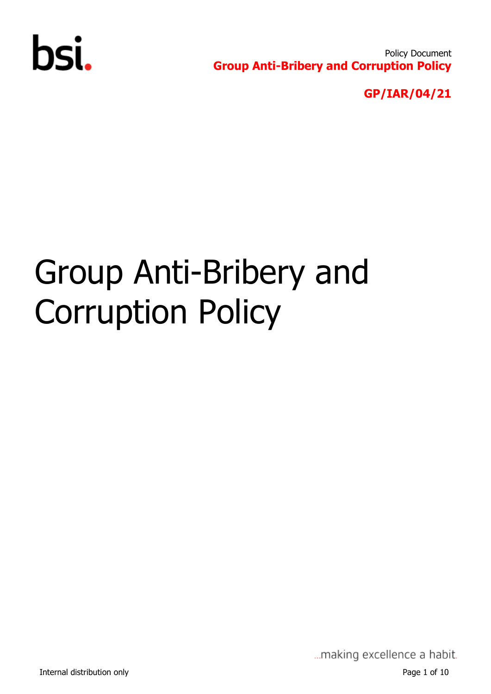

Policy Document **Group Anti-Bribery and Corruption Policy** 

**GP/IAR/04/21**

# Group Anti-Bribery and Corruption Policy

... making excellence a habit.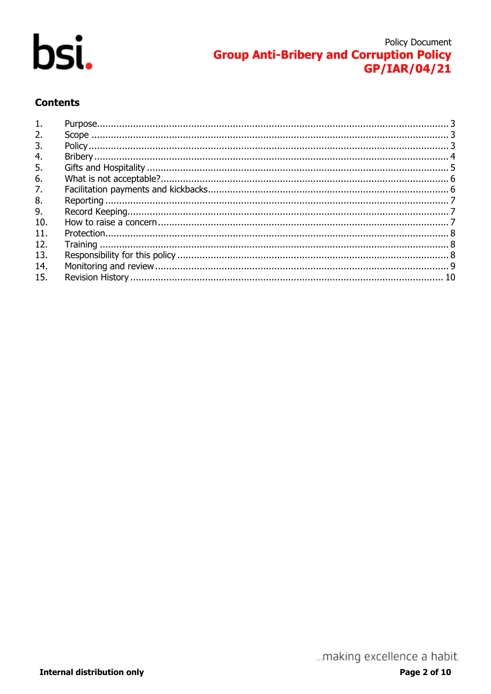

# **Policy Document Group Anti-Bribery and Corruption Policy** GP/IAR/04/21

#### **Contents**

| 1.  |  |
|-----|--|
| 2.  |  |
| 3.  |  |
| 4.  |  |
| 5.  |  |
| 6.  |  |
| 7.  |  |
| 8.  |  |
| 9.  |  |
| 10. |  |
| 11. |  |
| 12. |  |
| 13. |  |
| 14. |  |
| 15. |  |
|     |  |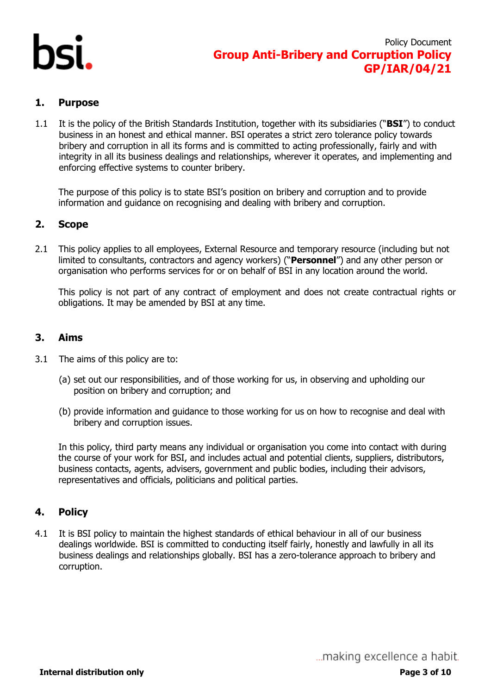

#### <span id="page-2-0"></span>**1. Purpose**

1.1 It is the policy of the British Standards Institution, together with its subsidiaries ("**BSI**") to conduct business in an honest and ethical manner. BSI operates a strict zero tolerance policy towards bribery and corruption in all its forms and is committed to acting professionally, fairly and with integrity in all its business dealings and relationships, wherever it operates, and implementing and enforcing effective systems to counter bribery.

The purpose of this policy is to state BSI's position on bribery and corruption and to provide information and guidance on recognising and dealing with bribery and corruption.

#### <span id="page-2-1"></span>**2. Scope**

2.1 This policy applies to all employees, External Resource and temporary resource (including but not limited to consultants, contractors and agency workers) ("**Personnel**") and any other person or organisation who performs services for or on behalf of BSI in any location around the world.

This policy is not part of any contract of employment and does not create contractual rights or obligations. It may be amended by BSI at any time.

#### **3. Aims**

- 3.1 The aims of this policy are to:
	- (a) set out our responsibilities, and of those working for us, in observing and upholding our position on bribery and corruption; and
	- (b) provide information and guidance to those working for us on how to recognise and deal with bribery and corruption issues.

In this policy, third party means any individual or organisation you come into contact with during the course of your work for BSI, and includes actual and potential clients, suppliers, distributors, business contacts, agents, advisers, government and public bodies, including their advisors, representatives and officials, politicians and political parties.

#### <span id="page-2-2"></span>**4. Policy**

4.1 It is BSI policy to maintain the highest standards of ethical behaviour in all of our business dealings worldwide. BSI is committed to conducting itself fairly, honestly and lawfully in all its business dealings and relationships globally. BSI has a zero-tolerance approach to bribery and corruption.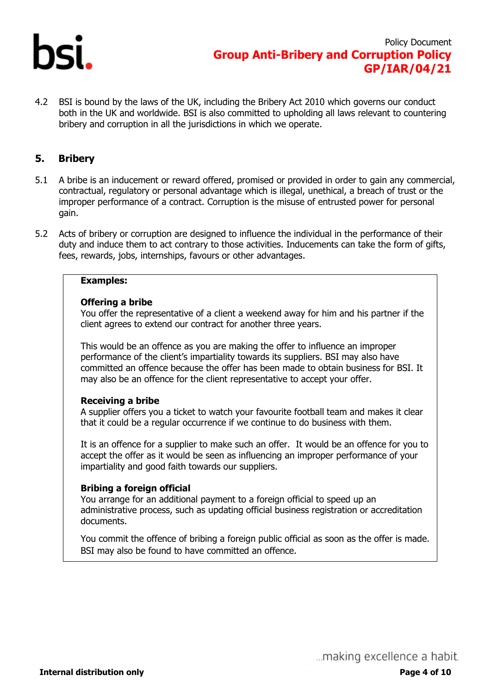

4.2 BSI is bound by the laws of the UK, including the Bribery Act 2010 which governs our conduct both in the UK and worldwide. BSI is also committed to upholding all laws relevant to countering bribery and corruption in all the jurisdictions in which we operate.

#### <span id="page-3-0"></span>**5. Bribery**

- 5.1 A bribe is an inducement or reward offered, promised or provided in order to gain any commercial, contractual, regulatory or personal advantage which is illegal, unethical, a breach of trust or the improper performance of a contract. Corruption is the misuse of entrusted power for personal gain.
- 5.2 Acts of bribery or corruption are designed to influence the individual in the performance of their duty and induce them to act contrary to those activities. Inducements can take the form of gifts, fees, rewards, jobs, internships, favours or other advantages.

#### **Examples:**

#### **Offering a bribe**

You offer the representative of a client a weekend away for him and his partner if the client agrees to extend our contract for another three years.

This would be an offence as you are making the offer to influence an improper performance of the client's impartiality towards its suppliers. BSI may also have committed an offence because the offer has been made to obtain business for BSI. It may also be an offence for the client representative to accept your offer.

#### **Receiving a bribe**

A supplier offers you a ticket to watch your favourite football team and makes it clear that it could be a regular occurrence if we continue to do business with them.

It is an offence for a supplier to make such an offer. It would be an offence for you to accept the offer as it would be seen as influencing an improper performance of your impartiality and good faith towards our suppliers.

#### **Bribing a foreign official**

You arrange for an additional payment to a foreign official to speed up an administrative process, such as updating official business registration or accreditation documents.

You commit the offence of bribing a foreign public official as soon as the offer is made. BSI may also be found to have committed an offence.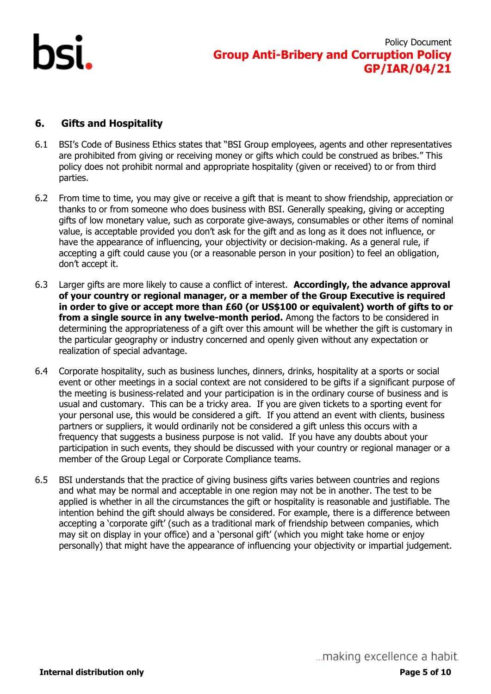# <span id="page-4-0"></span>**6. Gifts and Hospitality**

- 6.1 BSI's Code of Business Ethics states that "BSI Group employees, agents and other representatives are prohibited from giving or receiving money or gifts which could be construed as bribes." This policy does not prohibit normal and appropriate hospitality (given or received) to or from third parties.
- 6.2 From time to time, you may give or receive a gift that is meant to show friendship, appreciation or thanks to or from someone who does business with BSI. Generally speaking, giving or accepting gifts of low monetary value, such as corporate give-aways, consumables or other items of nominal value, is acceptable provided you don't ask for the gift and as long as it does not influence, or have the appearance of influencing, your objectivity or decision-making. As a general rule, if accepting a gift could cause you (or a reasonable person in your position) to feel an obligation, don't accept it.
- 6.3 Larger gifts are more likely to cause a conflict of interest. **Accordingly, the advance approval of your country or regional manager, or a member of the Group Executive is required in order to give or accept more than £60 (or US\$100 or equivalent) worth of gifts to or from a single source in any twelve-month period.** Among the factors to be considered in determining the appropriateness of a gift over this amount will be whether the gift is customary in the particular geography or industry concerned and openly given without any expectation or realization of special advantage.
- 6.4 Corporate hospitality, such as business lunches, dinners, drinks, hospitality at a sports or social event or other meetings in a social context are not considered to be gifts if a significant purpose of the meeting is business-related and your participation is in the ordinary course of business and is usual and customary. This can be a tricky area. If you are given tickets to a sporting event for your personal use, this would be considered a gift. If you attend an event with clients, business partners or suppliers, it would ordinarily not be considered a gift unless this occurs with a frequency that suggests a business purpose is not valid. If you have any doubts about your participation in such events, they should be discussed with your country or regional manager or a member of the Group Legal or Corporate Compliance teams.
- 6.5 BSI understands that the practice of giving business gifts varies between countries and regions and what may be normal and acceptable in one region may not be in another. The test to be applied is whether in all the circumstances the gift or hospitality is reasonable and justifiable. The intention behind the gift should always be considered. For example, there is a difference between accepting a 'corporate gift' (such as a traditional mark of friendship between companies, which may sit on display in your office) and a 'personal gift' (which you might take home or enjoy personally) that might have the appearance of influencing your objectivity or impartial judgement.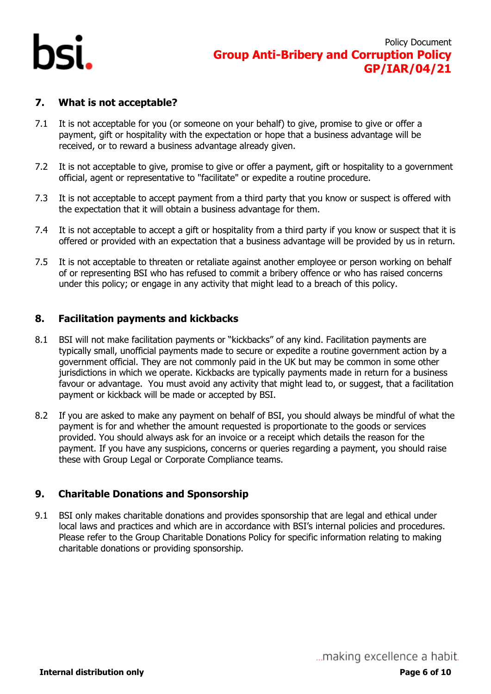

#### <span id="page-5-0"></span>**7. What is not acceptable?**

- 7.1 It is not acceptable for you (or someone on your behalf) to give, promise to give or offer a payment, gift or hospitality with the expectation or hope that a business advantage will be received, or to reward a business advantage already given.
- 7.2 It is not acceptable to give, promise to give or offer a payment, gift or hospitality to a government official, agent or representative to "facilitate" or expedite a routine procedure.
- 7.3 It is not acceptable to accept payment from a third party that you know or suspect is offered with the expectation that it will obtain a business advantage for them.
- 7.4 It is not acceptable to accept a gift or hospitality from a third party if you know or suspect that it is offered or provided with an expectation that a business advantage will be provided by us in return.
- 7.5 It is not acceptable to threaten or retaliate against another employee or person working on behalf of or representing BSI who has refused to commit a bribery offence or who has raised concerns under this policy; or engage in any activity that might lead to a breach of this policy.

#### <span id="page-5-1"></span>**8. Facilitation payments and kickbacks**

- 8.1 BSI will not make facilitation payments or "kickbacks" of any kind. Facilitation payments are typically small, unofficial payments made to secure or expedite a routine government action by a government official. They are not commonly paid in the UK but may be common in some other jurisdictions in which we operate. Kickbacks are typically payments made in return for a business favour or advantage. You must avoid any activity that might lead to, or suggest, that a facilitation payment or kickback will be made or accepted by BSI.
- 8.2 If you are asked to make any payment on behalf of BSI, you should always be mindful of what the payment is for and whether the amount requested is proportionate to the goods or services provided. You should always ask for an invoice or a receipt which details the reason for the payment. If you have any suspicions, concerns or queries regarding a payment, you should raise these with Group Legal or Corporate Compliance teams.

#### **9. Charitable Donations and Sponsorship**

9.1 BSI only makes charitable donations and provides sponsorship that are legal and ethical under local laws and practices and which are in accordance with BSI's internal policies and procedures. Please refer to the Group Charitable Donations Policy for specific information relating to making charitable donations or providing sponsorship.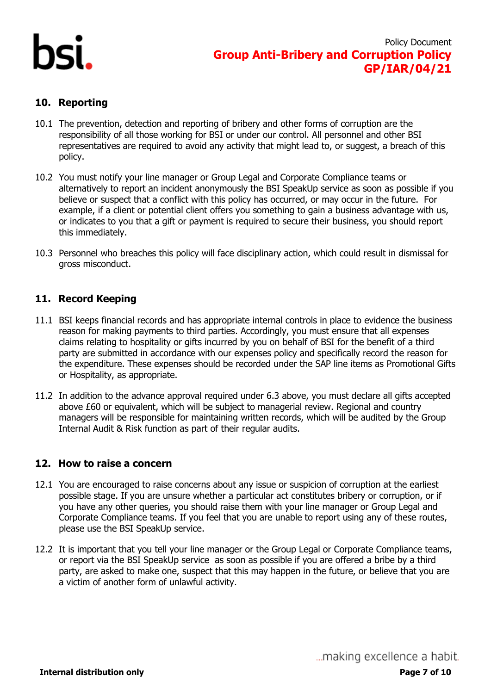

### <span id="page-6-0"></span>**10. Reporting**

- 10.1 The prevention, detection and reporting of bribery and other forms of corruption are the responsibility of all those working for BSI or under our control. All personnel and other BSI representatives are required to avoid any activity that might lead to, or suggest, a breach of this policy.
- 10.2 You must notify your line manager or Group Legal and Corporate Compliance teams or alternatively to report an incident anonymously the BSI SpeakUp service as soon as possible if you believe or suspect that a conflict with this policy has occurred, or may occur in the future. For example, if a client or potential client offers you something to gain a business advantage with us, or indicates to you that a gift or payment is required to secure their business, you should report this immediately.
- 10.3 Personnel who breaches this policy will face disciplinary action, which could result in dismissal for gross misconduct.

#### <span id="page-6-1"></span>**11. Record Keeping**

- 11.1 BSI keeps financial records and has appropriate internal controls in place to evidence the business reason for making payments to third parties. Accordingly, you must ensure that all expenses claims relating to hospitality or gifts incurred by you on behalf of BSI for the benefit of a third party are submitted in accordance with our expenses policy and specifically record the reason for the expenditure. These expenses should be recorded under the SAP line items as Promotional Gifts or Hospitality, as appropriate.
- 11.2 In addition to the advance approval required under 6.3 above, you must declare all gifts accepted above £60 or equivalent, which will be subject to managerial review. Regional and country managers will be responsible for maintaining written records, which will be audited by the Group Internal Audit & Risk function as part of their regular audits.

#### <span id="page-6-2"></span>**12. How to raise a concern**

- 12.1 You are encouraged to raise concerns about any issue or suspicion of corruption at the earliest possible stage. If you are unsure whether a particular act constitutes bribery or corruption, or if you have any other queries, you should raise them with your line manager or Group Legal and Corporate Compliance teams. If you feel that you are unable to report using any of these routes, please use the BSI SpeakUp service.
- 12.2 It is important that you tell your line manager or the Group Legal or Corporate Compliance teams, or report via the BSI SpeakUp service as soon as possible if you are offered a bribe by a third party, are asked to make one, suspect that this may happen in the future, or believe that you are a victim of another form of unlawful activity.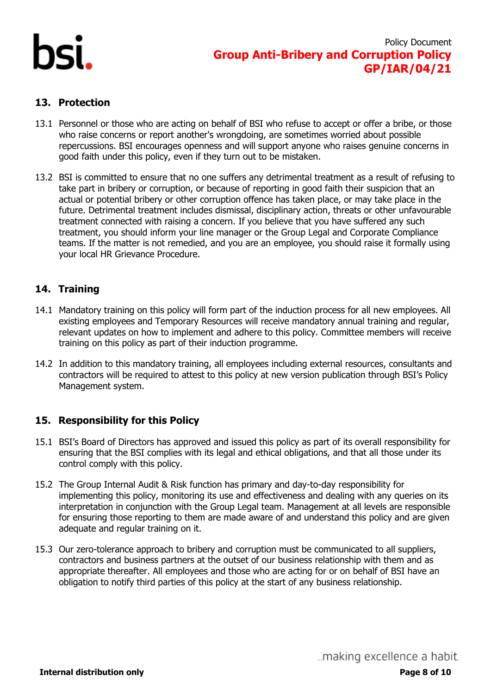

### <span id="page-7-0"></span>**13. Protection**

- 13.1 Personnel or those who are acting on behalf of BSI who refuse to accept or offer a bribe, or those who raise concerns or report another's wrongdoing, are sometimes worried about possible repercussions. BSI encourages openness and will support anyone who raises genuine concerns in good faith under this policy, even if they turn out to be mistaken.
- 13.2 BSI is committed to ensure that no one suffers any detrimental treatment as a result of refusing to take part in bribery or corruption, or because of reporting in good faith their suspicion that an actual or potential bribery or other corruption offence has taken place, or may take place in the future. Detrimental treatment includes dismissal, disciplinary action, threats or other unfavourable treatment connected with raising a concern. If you believe that you have suffered any such treatment, you should inform your line manager or the Group Legal and Corporate Compliance teams. If the matter is not remedied, and you are an employee, you should raise it formally using your local HR Grievance Procedure.

# <span id="page-7-1"></span>**14. Training**

- 14.1 Mandatory training on this policy will form part of the induction process for all new employees. All existing employees and Temporary Resources will receive mandatory annual training and regular, relevant updates on how to implement and adhere to this policy. Committee members will receive training on this policy as part of their induction programme.
- 14.2 In addition to this mandatory training, all employees including external resources, consultants and contractors will be required to attest to this policy at new version publication through BSI's Policy Management system.

#### <span id="page-7-2"></span>**15. Responsibility for this Policy**

- 15.1 BSI's Board of Directors has approved and issued this policy as part of its overall responsibility for ensuring that the BSI complies with its legal and ethical obligations, and that all those under its control comply with this policy.
- 15.2 The Group Internal Audit & Risk function has primary and day-to-day responsibility for implementing this policy, monitoring its use and effectiveness and dealing with any queries on its interpretation in conjunction with the Group Legal team. Management at all levels are responsible for ensuring those reporting to them are made aware of and understand this policy and are given adequate and regular training on it.
- 15.3 Our zero-tolerance approach to bribery and corruption must be communicated to all suppliers, contractors and business partners at the outset of our business relationship with them and as appropriate thereafter. All employees and those who are acting for or on behalf of BSI have an obligation to notify third parties of this policy at the start of any business relationship.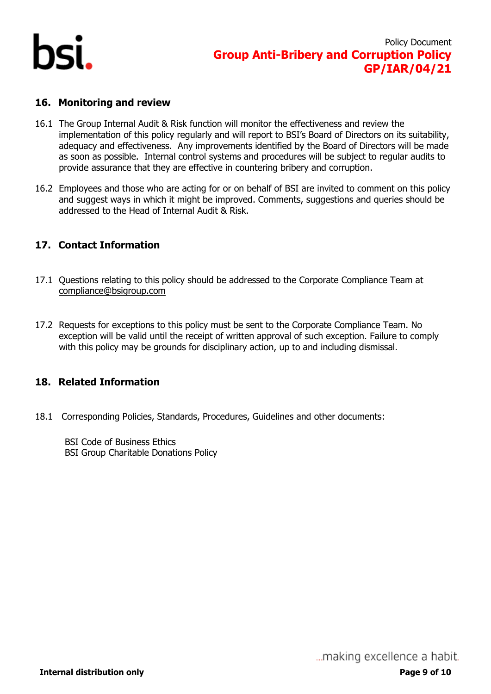

#### <span id="page-8-0"></span>**16. Monitoring and review**

- 16.1 The Group Internal Audit & Risk function will monitor the effectiveness and review the implementation of this policy regularly and will report to BSI's Board of Directors on its suitability, adequacy and effectiveness. Any improvements identified by the Board of Directors will be made as soon as possible. Internal control systems and procedures will be subject to regular audits to provide assurance that they are effective in countering bribery and corruption.
- 16.2 Employees and those who are acting for or on behalf of BSI are invited to comment on this policy and suggest ways in which it might be improved. Comments, suggestions and queries should be addressed to the Head of Internal Audit & Risk.

# **17. Contact Information**

- 17.1 Questions relating to this policy should be addressed to the Corporate Compliance Team at [compliance@bsigroup.com](mailto:compliance@bsigroup.com)
- 17.2 Requests for exceptions to this policy must be sent to the Corporate Compliance Team. No exception will be valid until the receipt of written approval of such exception. Failure to comply with this policy may be grounds for disciplinary action, up to and including dismissal.

#### **18. Related Information**

18.1 Corresponding Policies, Standards, Procedures, Guidelines and other documents:

BSI Code of Business Ethics BSI Group Charitable Donations Policy